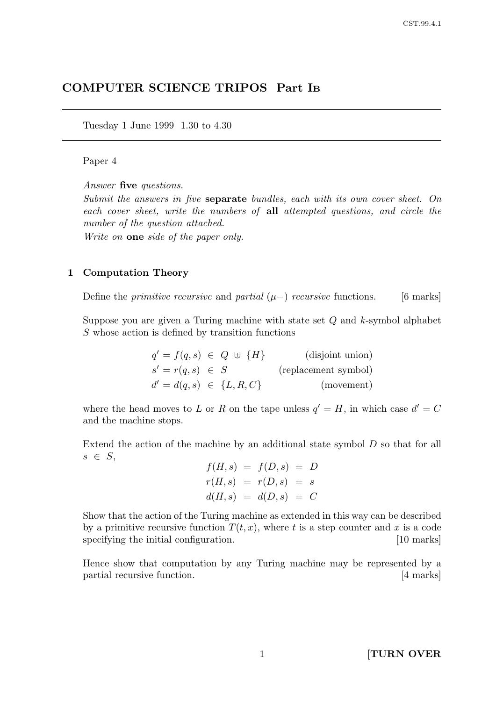# COMPUTER SCIENCE TRIPOS Part I<sup>B</sup>

Tuesday 1 June 1999 1.30 to 4.30

### Paper 4

Answer five questions.

Submit the answers in five separate bundles, each with its own cover sheet. On each cover sheet, write the numbers of all attempted questions, and circle the number of the question attached.

Write on **one** side of the paper only.

#### 1 Computation Theory

Define the *primitive recursive* and *partial*  $(\mu-)$  *recursive* functions. [6 marks]

Suppose you are given a Turing machine with state set  $Q$  and  $k$ -symbol alphabet S whose action is defined by transition functions

| $q' = f(q, s) \in Q \; \uplus \; \{H\}$ |  | (disjoint union)     |
|-----------------------------------------|--|----------------------|
| $s' = r(q, s) \in S$                    |  | (replacement symbol) |
| $d' = d(q, s) \in \{L, R, C\}$          |  | (movement)           |

where the head moves to L or R on the tape unless  $q' = H$ , in which case  $d' = C$ and the machine stops.

Extend the action of the machine by an additional state symbol D so that for all  $s \in S$ ,

$$
f(H, s) = f(D, s) = D
$$
  

$$
r(H, s) = r(D, s) = s
$$
  

$$
d(H, s) = d(D, s) = C
$$

Show that the action of the Turing machine as extended in this way can be described by a primitive recursive function  $T(t, x)$ , where t is a step counter and x is a code specifying the initial configuration. [10 marks]

Hence show that computation by any Turing machine may be represented by a partial recursive function. [4 marks]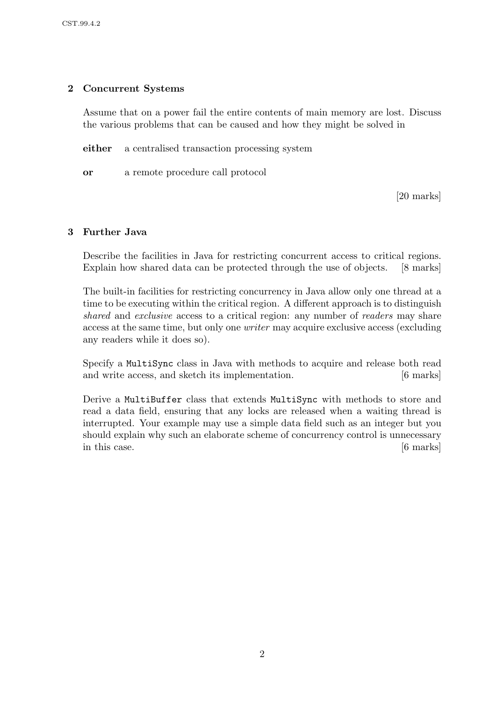## 2 Concurrent Systems

Assume that on a power fail the entire contents of main memory are lost. Discuss the various problems that can be caused and how they might be solved in

either a centralised transaction processing system

or a remote procedure call protocol

[20 marks]

## 3 Further Java

Describe the facilities in Java for restricting concurrent access to critical regions. Explain how shared data can be protected through the use of objects. [8 marks]

The built-in facilities for restricting concurrency in Java allow only one thread at a time to be executing within the critical region. A different approach is to distinguish shared and exclusive access to a critical region: any number of readers may share access at the same time, but only one writer may acquire exclusive access (excluding any readers while it does so).

Specify a MultiSync class in Java with methods to acquire and release both read and write access, and sketch its implementation. [6 marks]

Derive a MultiBuffer class that extends MultiSync with methods to store and read a data field, ensuring that any locks are released when a waiting thread is interrupted. Your example may use a simple data field such as an integer but you should explain why such an elaborate scheme of concurrency control is unnecessary in this case. [6 marks]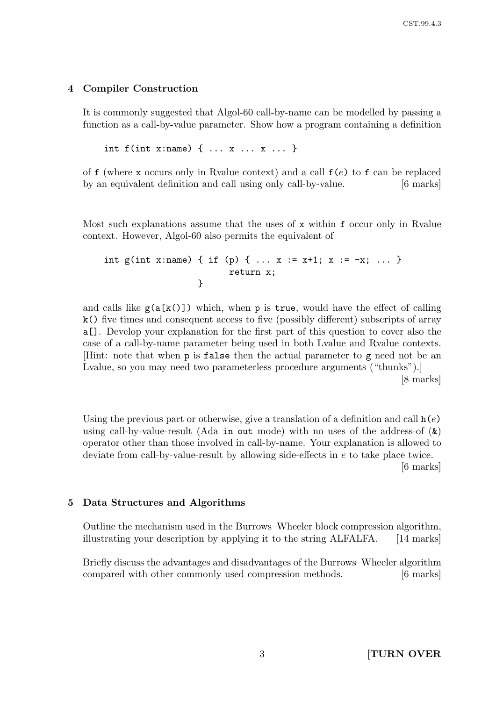### 4 Compiler Construction

It is commonly suggested that Algol-60 call-by-name can be modelled by passing a function as a call-by-value parameter. Show how a program containing a definition

int f(int x:name) { ... x ... x ... }

of f (where x occurs only in Rvalue context) and a call  $f(e)$  to f can be replaced by an equivalent definition and call using only call-by-value. [6 marks]

Most such explanations assume that the uses of x within f occur only in Rvalue context. However, Algol-60 also permits the equivalent of

```
int g(int x:name) { if (p) { ... x := x+1; x := -x; ... }
                        return x;
                  }
```
and calls like  $g(a[k()])$  which, when p is true, would have the effect of calling k() five times and consequent access to five (possibly different) subscripts of array a[]. Develop your explanation for the first part of this question to cover also the case of a call-by-name parameter being used in both Lvalue and Rvalue contexts. [Hint: note that when p is false then the actual parameter to g need not be an Lvalue, so you may need two parameterless procedure arguments ("thunks").

[8 marks]

Using the previous part or otherwise, give a translation of a definition and call  $h(e)$ using call-by-value-result (Ada in out mode) with no uses of the address-of  $(\&)$ operator other than those involved in call-by-name. Your explanation is allowed to deviate from call-by-value-result by allowing side-effects in e to take place twice. [6 marks]

#### 5 Data Structures and Algorithms

Outline the mechanism used in the Burrows–Wheeler block compression algorithm, illustrating your description by applying it to the string ALFALFA. [14 marks]

Briefly discuss the advantages and disadvantages of the Burrows–Wheeler algorithm compared with other commonly used compression methods. [6 marks]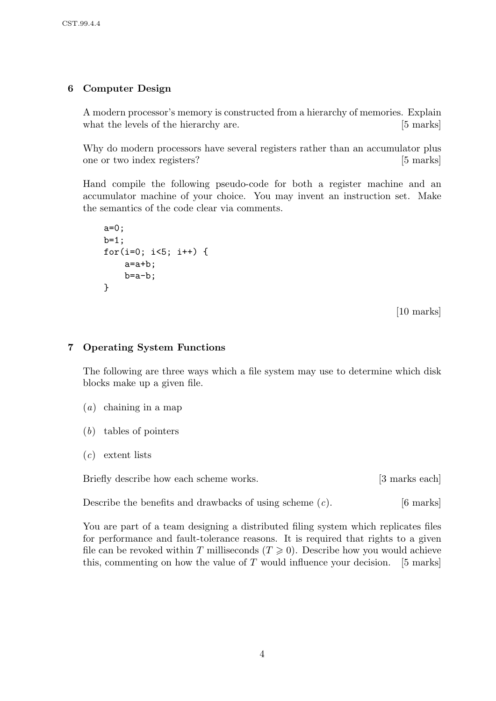## 6 Computer Design

A modern processor's memory is constructed from a hierarchy of memories. Explain what the levels of the hierarchy are. [5 marks]

Why do modern processors have several registers rather than an accumulator plus one or two index registers? [5 marks]

Hand compile the following pseudo-code for both a register machine and an accumulator machine of your choice. You may invent an instruction set. Make the semantics of the code clear via comments.

```
a=0;
b=1;
for(i=0; i<5; i++) {
    a=a+b;
    b=a-b;}
```
[10 marks]

## 7 Operating System Functions

The following are three ways which a file system may use to determine which disk blocks make up a given file.

- (a) chaining in a map
- (b) tables of pointers
- $(c)$  extent lists

Briefly describe how each scheme works. [3 marks each]

Describe the benefits and drawbacks of using scheme  $(c)$ . [6 marks]

You are part of a team designing a distributed filing system which replicates files for performance and fault-tolerance reasons. It is required that rights to a given file can be revoked within T milliseconds  $(T \geq 0)$ . Describe how you would achieve this, commenting on how the value of  $T$  would influence your decision. [5 marks]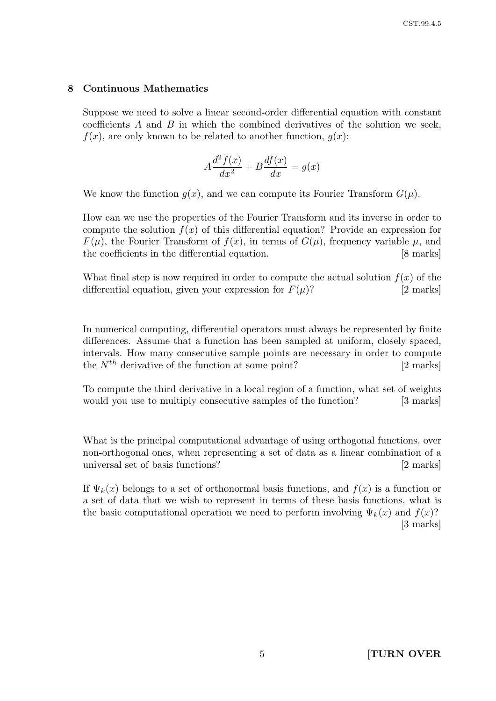### 8 Continuous Mathematics

Suppose we need to solve a linear second-order differential equation with constant coefficients  $A$  and  $B$  in which the combined derivatives of the solution we seek,  $f(x)$ , are only known to be related to another function,  $g(x)$ :

$$
A\frac{d^2f(x)}{dx^2} + B\frac{df(x)}{dx} = g(x)
$$

We know the function  $g(x)$ , and we can compute its Fourier Transform  $G(\mu)$ .

How can we use the properties of the Fourier Transform and its inverse in order to compute the solution  $f(x)$  of this differential equation? Provide an expression for  $F(\mu)$ , the Fourier Transform of  $f(x)$ , in terms of  $G(\mu)$ , frequency variable  $\mu$ , and the coefficients in the differential equation. [8 marks]

What final step is now required in order to compute the actual solution  $f(x)$  of the differential equation, given your expression for  $F(\mu)$ ? [2 marks]

In numerical computing, differential operators must always be represented by finite differences. Assume that a function has been sampled at uniform, closely spaced, intervals. How many consecutive sample points are necessary in order to compute the  $N^{th}$  derivative of the function at some point? [2 marks]

To compute the third derivative in a local region of a function, what set of weights would you use to multiply consecutive samples of the function? [3 marks]

What is the principal computational advantage of using orthogonal functions, over non-orthogonal ones, when representing a set of data as a linear combination of a universal set of basis functions? [2 marks]

If  $\Psi_k(x)$  belongs to a set of orthonormal basis functions, and  $f(x)$  is a function or a set of data that we wish to represent in terms of these basis functions, what is the basic computational operation we need to perform involving  $\Psi_k(x)$  and  $f(x)$ ? [3 marks]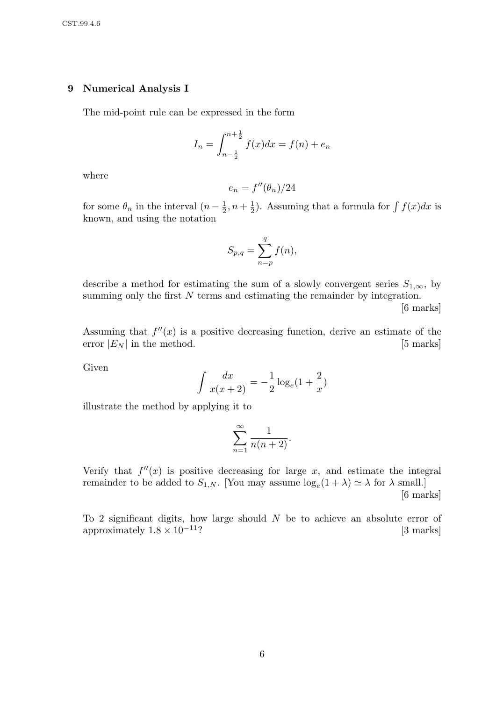### 9 Numerical Analysis I

The mid-point rule can be expressed in the form

$$
I_n = \int_{n - \frac{1}{2}}^{n + \frac{1}{2}} f(x) dx = f(n) + e_n
$$

where

$$
e_n = f''(\theta_n)/24
$$

for some  $\theta_n$  in the interval  $(n-\frac{1}{2})$  $\frac{1}{2}, n + \frac{1}{2}$  $\frac{1}{2}$ ). Assuming that a formula for  $\int f(x)dx$  is known, and using the notation

$$
S_{p,q} = \sum_{n=p}^{q} f(n),
$$

describe a method for estimating the sum of a slowly convergent series  $S_{1,\infty}$ , by summing only the first N terms and estimating the remainder by integration.

[6 marks]

Assuming that  $f''(x)$  is a positive decreasing function, derive an estimate of the error  $|E_N|$  in the method. [5 marks]

Given

$$
\int \frac{dx}{x(x+2)} = -\frac{1}{2}\log_e(1+\frac{2}{x})
$$

illustrate the method by applying it to

$$
\sum_{n=1}^{\infty} \frac{1}{n(n+2)}.
$$

Verify that  $f''(x)$  is positive decreasing for large x, and estimate the integral remainder to be added to  $S_{1,N}$ . [You may assume  $\log_e(1+\lambda) \simeq \lambda$  for  $\lambda$  small.] [6 marks]

To 2 significant digits, how large should  $N$  be to achieve an absolute error of approximately  $1.8 \times 10^{-11}$ ? [3 marks]